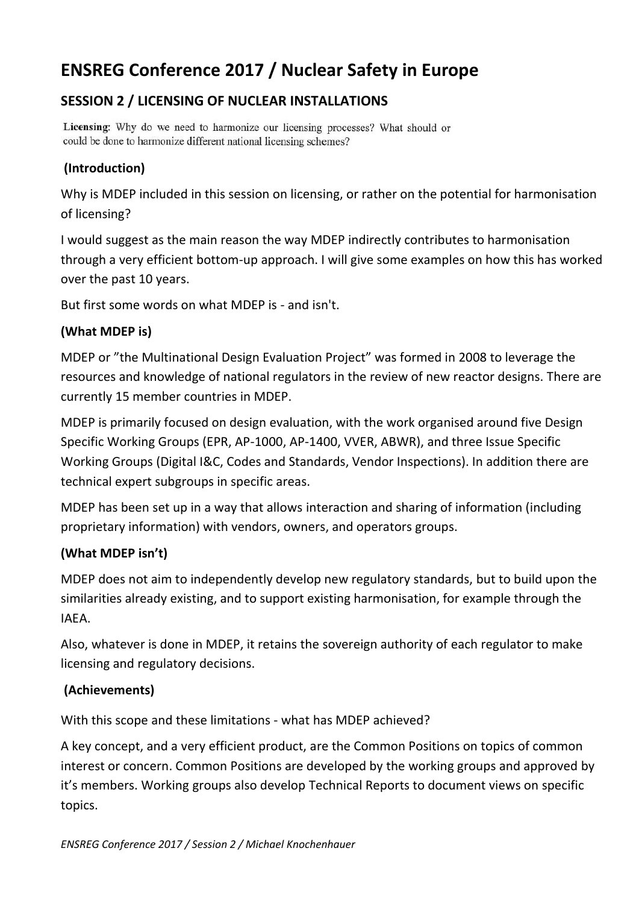# **ENSREG Conference 2017 / Nuclear Safety in Europe**

# **SESSION 2 / LICENSING OF NUCLEAR INSTALLATIONS**

Licensing: Why do we need to harmonize our licensing processes? What should or could be done to harmonize different national licensing schemes?

## **(Introduction)**

Why is MDEP included in this session on licensing, or rather on the potential for harmonisation of licensing?

I would suggest as the main reason the way MDEP indirectly contributes to harmonisation through a very efficient bottom-up approach. I will give some examples on how this has worked over the past 10 years.

But first some words on what MDEP is - and isn't.

#### **(What MDEP is)**

MDEP or "the Multinational Design Evaluation Project" was formed in 2008 to leverage the resources and knowledge of national regulators in the review of new reactor designs. There are currently 15 member countries in MDEP.

MDEP is primarily focused on design evaluation, with the work organised around five Design Specific Working Groups (EPR, AP-1000, AP-1400, VVER, ABWR), and three Issue Specific Working Groups (Digital I&C, Codes and Standards, Vendor Inspections). In addition there are technical expert subgroups in specific areas.

MDEP has been set up in a way that allows interaction and sharing of information (including proprietary information) with vendors, owners, and operators groups.

### **(What MDEP isn't)**

MDEP does not aim to independently develop new regulatory standards, but to build upon the similarities already existing, and to support existing harmonisation, for example through the IAEA.

Also, whatever is done in MDEP, it retains the sovereign authority of each regulator to make licensing and regulatory decisions.

#### **(Achievements)**

With this scope and these limitations - what has MDEP achieved?

A key concept, and a very efficient product, are the Common Positions on topics of common interest or concern. Common Positions are developed by the working groups and approved by it's members. Working groups also develop Technical Reports to document views on specific topics.